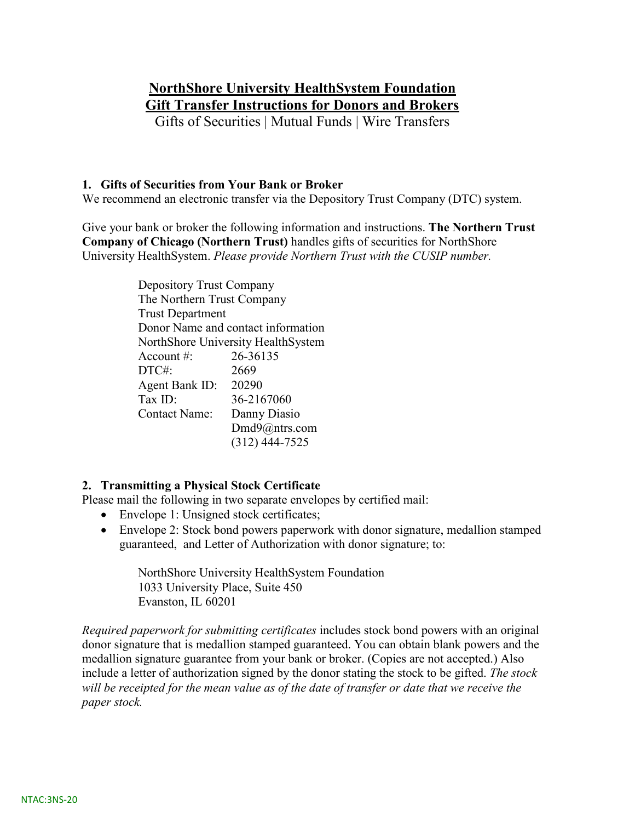# **NorthShore University HealthSystem Foundation Gift Transfer Instructions for Donors and Brokers**

Gifts of Securities | Mutual Funds | Wire Transfers

## **1. Gifts of Securities from Your Bank or Broker**

We recommend an electronic transfer via the Depository Trust Company (DTC) system.

Give your bank or broker the following information and instructions. **The Northern Trust Company of Chicago (Northern Trust)** handles gifts of securities for NorthShore University HealthSystem. *Please provide Northern Trust with the CUSIP number.*

> Depository Trust Company The Northern Trust Company Trust Department Donor Name and contact information NorthShore University HealthSystem Account #: 26-36135 DTC#: 2669 Agent Bank ID: 20290 Tax ID: 36-2167060 Contact Name: Danny Diasio [Dmd9@ntrs.com](mailto:Dmd9@ntrs.com) (312) 444-7525

## **2. Transmitting a Physical Stock Certificate**

Please mail the following in two separate envelopes by certified mail:

- Envelope 1: Unsigned stock certificates;
- Envelope 2: Stock bond powers paperwork with donor signature, medallion stamped guaranteed, and Letter of Authorization with donor signature; to:

NorthShore University HealthSystem Foundation 1033 University Place, Suite 450 Evanston, IL 60201

*Required paperwork for submitting certificates* includes stock bond powers with an original donor signature that is medallion stamped guaranteed. You can obtain blank powers and the medallion signature guarantee from your bank or broker. (Copies are not accepted.) Also include a letter of authorization signed by the donor stating the stock to be gifted. *The stock will be receipted for the mean value as of the date of transfer or date that we receive the paper stock.*